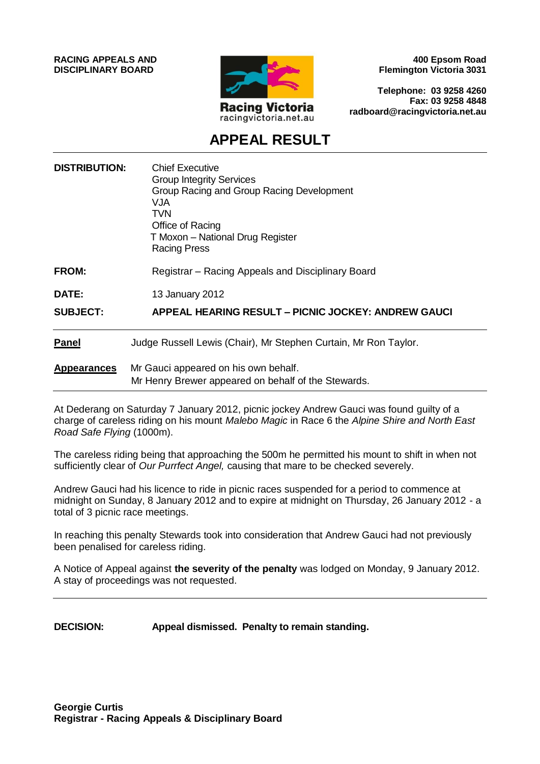**RACING APPEALS AND DISCIPLINARY BOARD**



**400 Epsom Road Flemington Victoria 3031**

**Telephone: 03 9258 4260 Fax: 03 9258 4848 radboard@racingvictoria.net.au**

# **APPEAL RESULT**

| <b>DISTRIBUTION:</b> | <b>Chief Executive</b><br><b>Group Integrity Services</b><br>Group Racing and Group Racing Development<br><b>VJA</b><br>TVN<br>Office of Racing<br>T Moxon - National Drug Register<br><b>Racing Press</b> |
|----------------------|------------------------------------------------------------------------------------------------------------------------------------------------------------------------------------------------------------|
| <b>FROM:</b>         | Registrar – Racing Appeals and Disciplinary Board                                                                                                                                                          |
| <b>DATE:</b>         | 13 January 2012                                                                                                                                                                                            |
| <b>SUBJECT:</b>      | <b>APPEAL HEARING RESULT – PICNIC JOCKEY: ANDREW GAUCI</b>                                                                                                                                                 |
| <b>Panel</b>         | Judge Russell Lewis (Chair), Mr Stephen Curtain, Mr Ron Taylor.                                                                                                                                            |
| <b>Appearances</b>   | Mr Gauci appeared on his own behalf.<br>Mr Henry Brewer appeared on behalf of the Stewards.                                                                                                                |

At Dederang on Saturday 7 January 2012, picnic jockey Andrew Gauci was found guilty of a charge of careless riding on his mount *Malebo Magic* in Race 6 the *Alpine Shire and North East Road Safe Flying* (1000m).

The careless riding being that approaching the 500m he permitted his mount to shift in when not sufficiently clear of *Our Purrfect Angel,* causing that mare to be checked severely.

Andrew Gauci had his licence to ride in picnic races suspended for a period to commence at midnight on Sunday, 8 January 2012 and to expire at midnight on Thursday, 26 January 2012 - a total of 3 picnic race meetings.

In reaching this penalty Stewards took into consideration that Andrew Gauci had not previously been penalised for careless riding.

A Notice of Appeal against **the severity of the penalty** was lodged on Monday, 9 January 2012. A stay of proceedings was not requested.

**DECISION: Appeal dismissed. Penalty to remain standing.**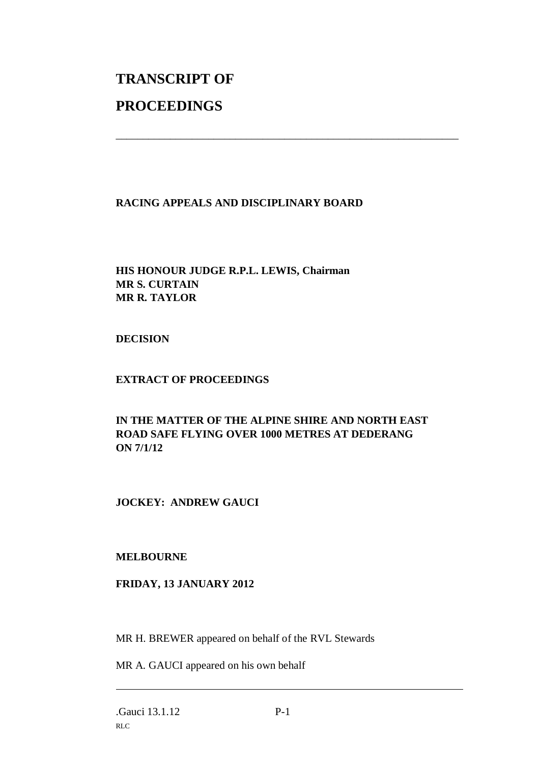# **TRANSCRIPT OF PROCEEDINGS**

# **RACING APPEALS AND DISCIPLINARY BOARD**

\_\_\_\_\_\_\_\_\_\_\_\_\_\_\_\_\_\_\_\_\_\_\_\_\_\_\_\_\_\_\_\_\_\_\_\_\_\_\_\_\_\_\_\_\_\_\_\_\_\_\_\_\_\_\_\_\_\_\_\_\_\_\_

# **HIS HONOUR JUDGE R.P.L. LEWIS, Chairman MR S. CURTAIN MR R. TAYLOR**

#### **DECISION**

#### **EXTRACT OF PROCEEDINGS**

# **IN THE MATTER OF THE ALPINE SHIRE AND NORTH EAST ROAD SAFE FLYING OVER 1000 METRES AT DEDERANG ON 7/1/12**

# **JOCKEY: ANDREW GAUCI**

#### **MELBOURNE**

#### **FRIDAY, 13 JANUARY 2012**

MR H. BREWER appeared on behalf of the RVL Stewards

MR A. GAUCI appeared on his own behalf